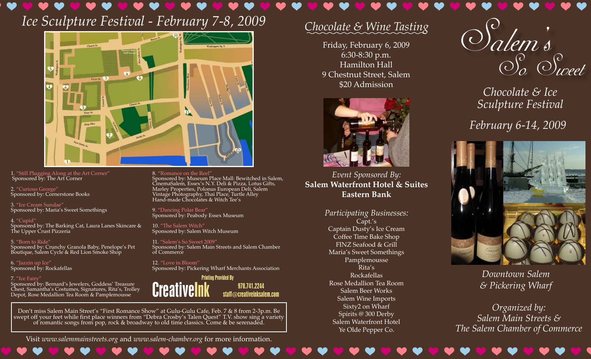# *Ice Sculpture Festival - February 7-8, 2009 Ice Sculpture Festival - February 7-8, 2009 Ice Sculpture Festival - February 7-8, 2009*



1. "Still Plugging Along at the Art Corner" 1. "Still Plugging Along at the Art Corner" 1. "Still Plugging Along at the Art Corner" Sponsored by: The Art Corner Sponsored by: The Art Corner Sponsored by: The Art Corner

2. "Curious George" Sponsored by: Cornerstone Books Sponsored by: Cornerstone Books Sponsored by: Cornerstone Books

3. "Ice Cream Sundae" 3. "Ice Cream Sundae" Sponsored by: Maria's Sweet Somethings  $e''$  ice Cream Sundae is  $\frac{1}{2}$ Sponsored by: Maria's Sweet Somethings Sponsored by: Maria's Sweet Somethings

4. "Cupid" Sponsored by: The Barking Cat, Laura Lanes Skincare & The Upper Crust Pizzeria The Upper Crust Pizzeria The Upper Crust Pizzeria Sponsored by: The Barking Cat, Laura Lanes Skincare &  $\quad$  10. "The Salem V

5. "Born to Ride" Sponsored by: Crunchy Granola Baby, Penelope's Pet Boutique, Salem Cycle & Red Lion Smoke Shop Boutique, Salem Cycle & Red Lion Smoke Shop Boutique, Salem Cycle & Red Lion Smoke Shop of Commerce Sponsored by: Crunchy Granola Baby, Penelope's Pet Sponsored by: Crunchy Granola Baby, Penelope's Pet

6. "Jazzin up Ice" Sponsored by: Rockafellas Sponsored by: Rockafellas Sponsored by: Rockafellas

#### 7. "Ice Fairy"

Sponsored by: Bernard's Jewelers, Goddess' Treasure Chest, Samantha's Costumes, Signatures, Rita's, Trolley Depot, Rose Medallion Tea Room & Pamplemousse ord's Jewelers, Goddess' Treasure **Constanting Line** Costumes, Signatures, Rita's, Trolley **Part Post Part III** on Tea Room & Pamplemousse **Low United States** Sponsored by: Bernard's Jewelers Chest, Samantha's Costumes, Signa Depot, Rose Medallion Tea Roo

8. "Romance on the Reel" 8. "Romance on the Reel" Sponsored by: Museum Place Mall: Bewitched in Salem, CinemaSalem, Essex's N.Y. Deli & Pizza, Lotus Gifts, Marley Properties, Polonus European Deli, Salem Vintage Photography, Thai Place, Turtle Alley Hand-made Chocolates & Witch Tee's  $\text{Reel}''$  . The results of the Reel um Place Mall: Bewitched in Salem, witch and the control of the same of the same of the control of the control 's N.Y. Deli & Pizza, Lotus Gifts,  $\mathbf{Salen}$ 'olonus European Deli, Salem y, Thai Place, Turtle Alley  $\frac{d}{dt}$  are  $\frac{d}{dt}$  . The Chocolates  $\frac{d}{dt}$  and  $\frac{d}{dt}$  are  $\frac{d}{dt}$  . The  $\frac{d}{dt}$ Sponsored by: Museum Place Mall: I  $\mathsf{Sp}$ onsored in Salem,  $\mathsf{Sp}$ CinemaSalem, Essex's N.Y. Deli & Pizza, Lotus Gifts, Marley Properties, Polonus European Deli, Saleman Deli, Saleman Deli, Saleman Deli, Saleman Deli, Saleman Deli Vintage Photography, Thai Place, Turtle Alley, Thai Place, Turkle Alley, Thai Hand-made Chocolates & Witch Tee's Street Books<br>
Street Books<br>
Marley Properties, Polonus European Deli, Salem<br>
Vintage Photography, Thai Place, Turtle Alley<br>
e''<br>
Since Alley<br>
Hand-made Chocolates & Witch Tee's<br>
Sponsored by: Feabody Essex Museum<br>
arking C

9. "Dancing Polar Bear" 9. "Dancing Polar Bear" 9. "Dancing Polar Bear" Sponsored by: Peabody Essex Museum Sponsored by: Peabody Essex Museum Sponsored by: Peabody Essex Museum

10. "The Salem Witch" Sponsored by: Salem Witch Museum  $h''$  and  $\mathcal{L}$  and  $\mathcal{L}$  and  $\mathcal{L}$ Sponsored by: Salem Witch Museum Sponsored by: Salem Witch Museum

11. "Salem's So Sweet 2009" 11. "Salem's So Sweet 2009" 11. "Salem's So Sweet 2009" Sponsored by: Salem Main Streets and Salem Chamber Sponsored by: Salem Main Streets and Salem Chamber Sponsored by: Salem Main Streets and Salem Chamber of Commerce

12. "Love in Bloom" Sponsored by: Pickering Wharf Merchants Association Sponsored by: Pickering Wharf Merchants Association Sponsored by: Pickering Wharf Merchants Association

> CreativeInk Printing Provided By 978.741.2244 staff@creativeinksalem.com

Don't miss Salem Main Street's "First Romance Show" at Gulu-Gulu Cafe, Feb. 7 & 8 from 2-3p.m. Be swept off your feet while first place winners from "Debra Crosby's Talen Quest" T.V. show sing a variety of romantic songs from pop, rock & broadway to old time classics. Come & be serenaded. Main Street's "First Romance Show" at Gulu-Gulu Cafe, Feb. 7 & 8 from 2-3p.m. Be t while first place winners from "Debra Crosby's Talen Quest" T.V. show sing a variety |<br>c songs from pop, rock & broadway to old time classics. Come & be serenaded. Don't miss Salem Main Street's "First Romance Show" at Gulu-Gulu Cafe, Feb. 7 & swept off your feet while first place winners from "Debra Crosby's Talen Quest" T.V. show of romantic songs from pop, rock & broadway to old time classics. Come & be s

Visit www.salemmainstreets.org and www.salem-chamber.org for more information.

## *Chocolate & Wine Tasting Chocolate & Wine Tasting Chocolate & Wine Tasting*

Friday, February 6, 2009 Friday, February 6, 2009 Friday, February 6, 2009 6:30-8:30 p.m. Hamilton Hall 9 Chestnut Street, Salem 9 Chestnut Street, Salem 9 Chestnut Street, Salem \$20 Admission \$20 Admission  $\mathbf{H}$  and  $\mathbf{H}$  $\mathfrak{m}$  and  $\mathfrak{m}$  and  $\mathfrak{m}$  $\epsilon$ Hamilton Hall



*Event Sponsored By: Event Sponsored By: Event Sponsored By:* **Salem Waterfront Hotel & Suites Salem Waterfront Hotel & Suites Salem Waterfront Hotel & Suites Eastern Bank Eastern Bank Eastern Bank**

*Participating Businesses: Participating Businesses: Participating Businesses:* Capt.'s Captain Dusty's Ice Cream Captain Dusty's Ice Cream Captain Dusty's Ice Cream Coffee Time Bake Shop Coffee Time Bake Shop Coffee Time Bake Shop FINZ Seafood & Grill FINZ Seafood & Grill FINZ Seafood & Grill Maria's Sweet Somethings Maria's Sweet Somethings Maria's Sweet Somethings Pamplemousse Rita's Rockafellas Rose Medallion Tea Room Rose Medallion Tea Room Rose Medallion Tea Room Salem Beer Works Salem Wine Imports Salem Wine Imports Salem Wine Imports Sixty2 on Wharf Spirits @ 300 Derby Spirits @ 300 Derby Spirits @ 300 Derby Salem Waterfront Hotel Salem Waterfront Hotel Salem Waterfront Hotel Ye Olde Pepper Co. Ye Olde Pepper Co. Ye Olde Pepper Co.  $\mathcal{S}$  and  $\mathcal{S}$  and  $\mathcal{S}$ Salem Beer Works methings<br>usse<br>as<br>Tea Room



*Chocolate & Ice Chocolate & Ice Chocolate & Ice Sculpture Festival Sculpture Festival Sculpture Festival*

*February 6-14, 2009 February 6-14, 2009 February 6-14, 2009*



*Downtown Salem Downtown Salem Downtown Salem & Pickering Wharf & Pickering Wharf & Pickering Wharf*

*Organized by: Organized by: Organized by: Salem Main Streets & Salem Main Streets & Salem Main Streets & The Salem Chamber of Commerce The Salem Chamber of Commerce The Salem Chamber of Commerce*